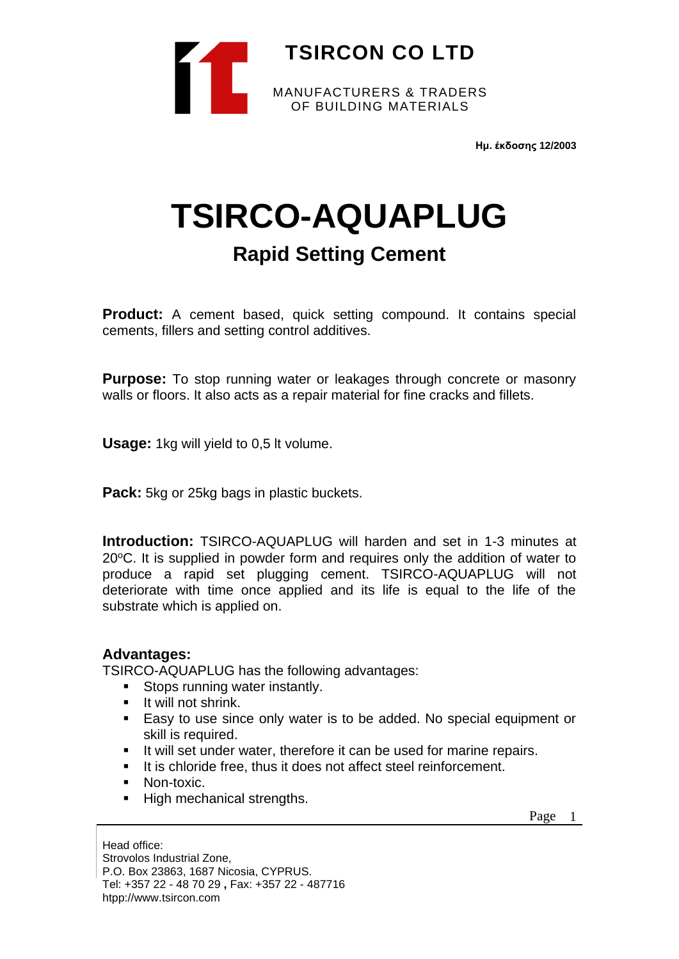

**Ημ. έκδοσης 12/2003**

# **TSIRCO-AQUAPLUG**

## **Rapid Setting Cement**

**Product:** A cement based, quick setting compound. It contains special cements, fillers and setting control additives.

**Purpose:** To stop running water or leakages through concrete or masonry walls or floors. It also acts as a repair material for fine cracks and fillets.

**Usage:** 1kg will yield to 0,5 lt volume.

**Pack:** 5kg or 25kg bags in plastic buckets.

**Introduction:** TSIRCO-AQUAPLUG will harden and set in 1-3 minutes at 20 °C. It is supplied in powder form and requires only the addition of water to produce a rapid set plugging cement. TSIRCO-AQUAPLUG will not deteriorate with time once applied and its life is equal to the life of the substrate which is applied on.

### **Advantages:**

TSIRCO-AQUAPLUG has the following advantages:

- Stops running water instantly.
- **■** It will not shrink.
- Easy to use since only water is to be added. No special equipment or skill is required.
- It will set under water, therefore it can be used for marine repairs.
- It is chloride free, thus it does not affect steel reinforcement.
- Non-toxic.
- High mechanical strengths.

Page 1

Head office: Strovolos Industrial Zone, P.O. Box 23863, 1687 Nicosia, CYPRUS. Tel: +357 22 - 48 70 29 **,** Fax: +357 22 - 487716 htpp://www.tsircon.com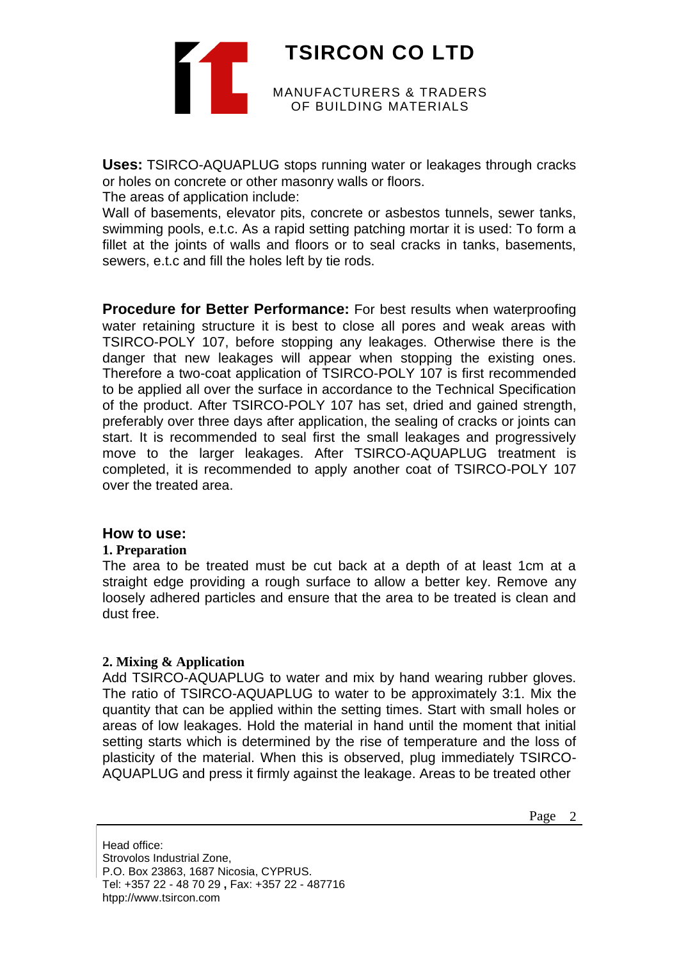**TSIRCON CO LTD** MANUFACTURERS & TRADERS OF BUILDING MATERIALS

**Uses:** TSIRCO-AQUAPLUG stops running water or leakages through cracks or holes on concrete or other masonry walls or floors.

The areas of application include:

Wall of basements, elevator pits, concrete or asbestos tunnels, sewer tanks, swimming pools, e.t.c. As a rapid setting patching mortar it is used: To form a fillet at the joints of walls and floors or to seal cracks in tanks, basements, sewers, e.t.c and fill the holes left by tie rods.

**Procedure for Better Performance:** For best results when waterproofing water retaining structure it is best to close all pores and weak areas with TSIRCO-POLY 107, before stopping any leakages. Otherwise there is the danger that new leakages will appear when stopping the existing ones. Therefore a two-coat application of TSIRCO-POLY 107 is first recommended to be applied all over the surface in accordance to the Technical Specification of the product. After TSIRCO-POLY 107 has set, dried and gained strength, preferably over three days after application, the sealing of cracks or joints can start. It is recommended to seal first the small leakages and progressively move to the larger leakages. After TSIRCO-AQUAPLUG treatment is completed, it is recommended to apply another coat of TSIRCO-POLY 107 over the treated area.

#### **How to use:**

#### **1. Preparation**

The area to be treated must be cut back at a depth of at least 1cm at a straight edge providing a rough surface to allow a better key. Remove any loosely adhered particles and ensure that the area to be treated is clean and dust free.

#### **2. Mixing & Application**

Add TSIRCO-AQUAPLUG to water and mix by hand wearing rubber gloves. The ratio of TSIRCO-AQUAPLUG to water to be approximately 3:1. Mix the quantity that can be applied within the setting times. Start with small holes or areas of low leakages. Hold the material in hand until the moment that initial setting starts which is determined by the rise of temperature and the loss of plasticity of the material. When this is observed, plug immediately TSIRCO-AQUAPLUG and press it firmly against the leakage. Areas to be treated other

Page 2

Head office: Strovolos Industrial Zone, P.O. Box 23863, 1687 Nicosia, CYPRUS. Tel: +357 22 - 48 70 29 **,** Fax: +357 22 - 487716 htpp://www.tsircon.com